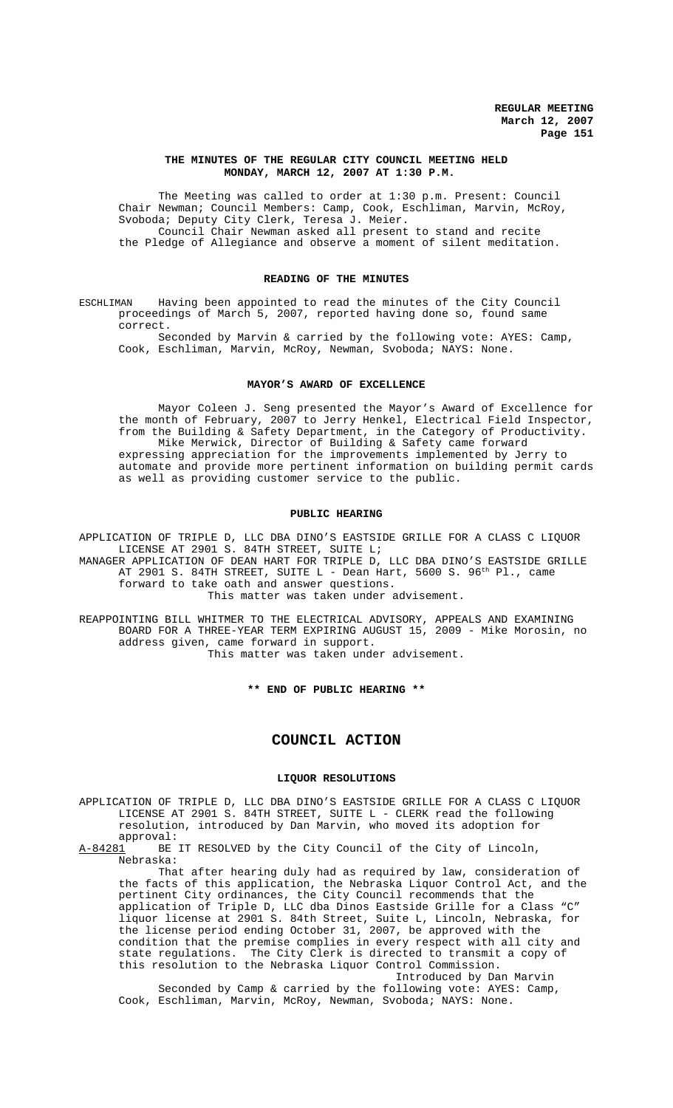## **THE MINUTES OF THE REGULAR CITY COUNCIL MEETING HELD MONDAY, MARCH 12, 2007 AT 1:30 P.M.**

The Meeting was called to order at 1:30 p.m. Present: Council Chair Newman; Council Members: Camp, Cook, Eschliman, Marvin, McRoy, Svoboda; Deputy City Clerk, Teresa J. Meier. Council Chair Newman asked all present to stand and recite the Pledge of Allegiance and observe a moment of silent meditation.

# **READING OF THE MINUTES**

ESCHLIMAN Having been appointed to read the minutes of the City Council proceedings of March 5, 2007, reported having done so, found same correct.

Seconded by Marvin & carried by the following vote: AYES: Camp, Cook, Eschliman, Marvin, McRoy, Newman, Svoboda; NAYS: None.

#### **MAYOR'S AWARD OF EXCELLENCE**

Mayor Coleen J. Seng presented the Mayor's Award of Excellence for the month of February, 2007 to Jerry Henkel, Electrical Field Inspector, from the Building & Safety Department, in the Category of Productivity. Mike Merwick, Director of Building & Safety came forward expressing appreciation for the improvements implemented by Jerry to automate and provide more pertinent information on building permit cards as well as providing customer service to the public.

## **PUBLIC HEARING**

APPLICATION OF TRIPLE D, LLC DBA DINO'S EASTSIDE GRILLE FOR A CLASS C LIQUOR LICENSE AT 2901 S. 84TH STREET, SUITE L;

MANAGER APPLICATION OF DEAN HART FOR TRIPLE D, LLC DBA DINO'S EASTSIDE GRILLE AT 2901 S. 84TH STREET, SUITE L - Dean Hart, 5600 S. 96<sup>th</sup> Pl., came forward to take oath and answer questions.

This matter was taken under advisement.

REAPPOINTING BILL WHITMER TO THE ELECTRICAL ADVISORY, APPEALS AND EXAMINING BOARD FOR A THREE-YEAR TERM EXPIRING AUGUST 15, 2009 - Mike Morosin, no address given, came forward in support. This matter was taken under advisement.

**\*\* END OF PUBLIC HEARING \*\***

# **COUNCIL ACTION**

## **LIQUOR RESOLUTIONS**

APPLICATION OF TRIPLE D, LLC DBA DINO'S EASTSIDE GRILLE FOR A CLASS C LIQUOR LICENSE AT 2901 S. 84TH STREET, SUITE L - CLERK read the following resolution, introduced by Dan Marvin, who moved its adoption for approval:<br>A-84281 BE

BE IT RESOLVED by the City Council of the City of Lincoln, Nebraska:

That after hearing duly had as required by law, consideration of the facts of this application, the Nebraska Liquor Control Act, and the pertinent City ordinances, the City Council recommends that the application of Triple D, LLC dba Dinos Eastside Grille for a Class "C" liquor license at 2901 S. 84th Street, Suite L, Lincoln, Nebraska, for the license period ending October 31, 2007, be approved with the condition that the premise complies in every respect with all city and state regulations. The City Clerk is directed to transmit a copy of this resolution to the Nebraska Liquor Control Commission.

Introduced by Dan Marvin Seconded by Camp & carried by the following vote: AYES: Camp, Cook, Eschliman, Marvin, McRoy, Newman, Svoboda; NAYS: None.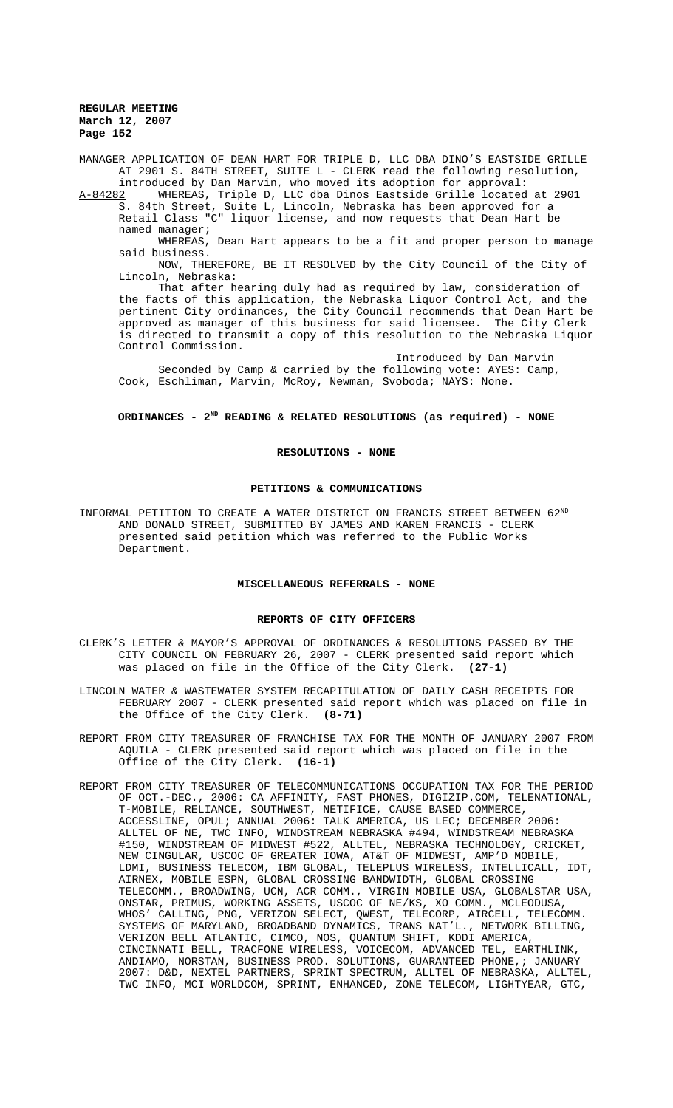**REGULAR MEETING March 12, 2007 Page 152**

MANAGER APPLICATION OF DEAN HART FOR TRIPLE D, LLC DBA DINO'S EASTSIDE GRILLE AT 2901 S. 84TH STREET, SUITE L - CLERK read the following resolution,

introduced by Dan Marvin, who moved its adoption for approval:<br>A-84282 WHEREAS, Triple D, LLC dba Dinos Eastside Grille located WHEREAS, Triple D, LLC dba Dinos Eastside Grille located at 2901 S. 84th Street, Suite L, Lincoln, Nebraska has been approved for a Retail Class "C" liquor license, and now requests that Dean Hart be named manager;

WHEREAS, Dean Hart appears to be a fit and proper person to manage said business.

NOW, THEREFORE, BE IT RESOLVED by the City Council of the City of Lincoln, Nebraska:

That after hearing duly had as required by law, consideration of the facts of this application, the Nebraska Liquor Control Act, and the pertinent City ordinances, the City Council recommends that Dean Hart be approved as manager of this business for said licensee. The City Clerk is directed to transmit a copy of this resolution to the Nebraska Liquor Control Commission.

Introduced by Dan Marvin Seconded by Camp & carried by the following vote: AYES: Camp, Cook, Eschliman, Marvin, McRoy, Newman, Svoboda; NAYS: None.

## ORDINANCES - 2<sup>ND</sup> READING & RELATED RESOLUTIONS (as required) - NONE

#### **RESOLUTIONS - NONE**

## **PETITIONS & COMMUNICATIONS**

INFORMAL PETITION TO CREATE A WATER DISTRICT ON FRANCIS STREET BETWEEN 62ND AND DONALD STREET, SUBMITTED BY JAMES AND KAREN FRANCIS - CLERK presented said petition which was referred to the Public Works Department.

## **MISCELLANEOUS REFERRALS - NONE**

## **REPORTS OF CITY OFFICERS**

- CLERK'S LETTER & MAYOR'S APPROVAL OF ORDINANCES & RESOLUTIONS PASSED BY THE CITY COUNCIL ON FEBRUARY 26, 2007 - CLERK presented said report which was placed on file in the Office of the City Clerk. **(27-1)**
- LINCOLN WATER & WASTEWATER SYSTEM RECAPITULATION OF DAILY CASH RECEIPTS FOR FEBRUARY 2007 - CLERK presented said report which was placed on file in the Office of the City Clerk. **(8-71)**
- REPORT FROM CITY TREASURER OF FRANCHISE TAX FOR THE MONTH OF JANUARY 2007 FROM AQUILA - CLERK presented said report which was placed on file in the Office of the City Clerk. **(16-1)**
- REPORT FROM CITY TREASURER OF TELECOMMUNICATIONS OCCUPATION TAX FOR THE PERIOD OF OCT.-DEC., 2006: CA AFFINITY, FAST PHONES, DIGIZIP.COM, TELENATIONAL, T-MOBILE, RELIANCE, SOUTHWEST, NETIFICE, CAUSE BASED COMMERCE, ACCESSLINE, OPUL; ANNUAL 2006: TALK AMERICA, US LEC; DECEMBER 2006: ALLTEL OF NE, TWC INFO, WINDSTREAM NEBRASKA #494, WINDSTREAM NEBRASKA #150, WINDSTREAM OF MIDWEST #522, ALLTEL, NEBRASKA TECHNOLOGY, CRICKET, NEW CINGULAR, USCOC OF GREATER IOWA, AT&T OF MIDWEST, AMP'D MOBILE, LDMI, BUSINESS TELECOM, IBM GLOBAL, TELEPLUS WIRELESS, INTELLICALL, IDT, AIRNEX, MOBILE ESPN, GLOBAL CROSSING BANDWIDTH, GLOBAL CROSSING TELECOMM., BROADWING, UCN, ACR COMM., VIRGIN MOBILE USA, GLOBALSTAR USA, ONSTAR, PRIMUS, WORKING ASSETS, USCOC OF NE/KS, XO COMM., MCLEODUSA, WHOS' CALLING, PNG, VERIZON SELECT, QWEST, TELECORP, AIRCELL, TELECOMM. SYSTEMS OF MARYLAND, BROADBAND DYNAMICS, TRANS NAT'L., NETWORK BILLING, VERIZON BELL ATLANTIC, CIMCO, NOS, QUANTUM SHIFT, KDDI AMERICA, CINCINNATI BELL, TRACFONE WIRELESS, VOICECOM, ADVANCED TEL, EARTHLINK, ANDIAMO, NORSTAN, BUSINESS PROD. SOLUTIONS, GUARANTEED PHONE,; JANUARY 2007: D&D, NEXTEL PARTNERS, SPRINT SPECTRUM, ALLTEL OF NEBRASKA, ALLTEL, TWC INFO, MCI WORLDCOM, SPRINT, ENHANCED, ZONE TELECOM, LIGHTYEAR, GTC,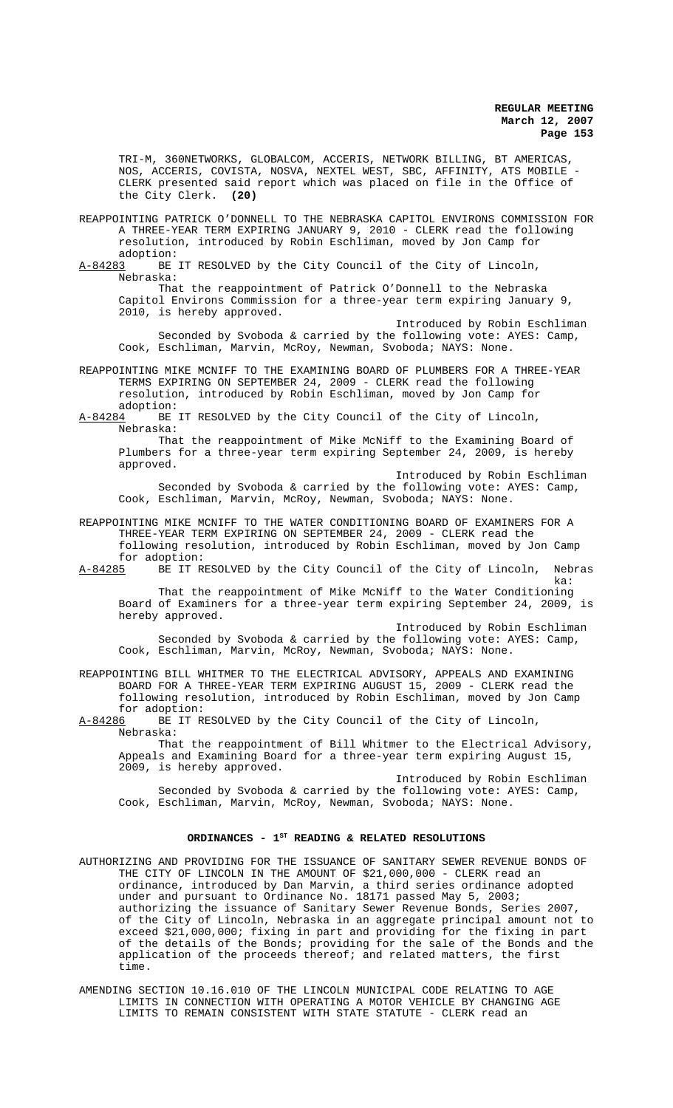TRI-M, 360NETWORKS, GLOBALCOM, ACCERIS, NETWORK BILLING, BT AMERICAS, NOS, ACCERIS, COVISTA, NOSVA, NEXTEL WEST, SBC, AFFINITY, ATS MOBILE - CLERK presented said report which was placed on file in the Office of the City Clerk. **(20)**

REAPPOINTING PATRICK O'DONNELL TO THE NEBRASKA CAPITOL ENVIRONS COMMISSION FOR A THREE-YEAR TERM EXPIRING JANUARY 9, 2010 - CLERK read the following resolution, introduced by Robin Eschliman, moved by Jon Camp for

adoption:<br>A-84283 BE BE IT RESOLVED by the City Council of the City of Lincoln, Nebraska:

That the reappointment of Patrick O'Donnell to the Nebraska Capitol Environs Commission for a three-year term expiring January 9, 2010, is hereby approved.

Introduced by Robin Eschliman Seconded by Svoboda & carried by the following vote: AYES: Camp, Cook, Eschliman, Marvin, McRoy, Newman, Svoboda; NAYS: None.

REAPPOINTING MIKE MCNIFF TO THE EXAMINING BOARD OF PLUMBERS FOR A THREE-YEAR TERMS EXPIRING ON SEPTEMBER 24, 2009 - CLERK read the following resolution, introduced by Robin Eschliman, moved by Jon Camp for adoption:

A-84284 BE IT RESOLVED by the City Council of the City of Lincoln, Nebraska:

That the reappointment of Mike McNiff to the Examining Board of Plumbers for a three-year term expiring September 24, 2009, is hereby approved.

Introduced by Robin Eschliman Seconded by Svoboda & carried by the following vote: AYES: Camp, Cook, Eschliman, Marvin, McRoy, Newman, Svoboda; NAYS: None.

REAPPOINTING MIKE MCNIFF TO THE WATER CONDITIONING BOARD OF EXAMINERS FOR A THREE-YEAR TERM EXPIRING ON SEPTEMBER 24, 2009 - CLERK read the following resolution, introduced by Robin Eschliman, moved by Jon Camp for adoption:<br>A-84285 BE IT R

BE IT RESOLVED by the City Council of the City of Lincoln, Nebras ka:

That the reappointment of Mike McNiff to the Water Conditioning Board of Examiners for a three-year term expiring September 24, 2009, is hereby approved.

Introduced by Robin Eschliman Seconded by Svoboda & carried by the following vote: AYES: Camp, Cook, Eschliman, Marvin, McRoy, Newman, Svoboda; NAYS: None.

REAPPOINTING BILL WHITMER TO THE ELECTRICAL ADVISORY, APPEALS AND EXAMINING BOARD FOR A THREE-YEAR TERM EXPIRING AUGUST 15, 2009 - CLERK read the following resolution, introduced by Robin Eschliman, moved by Jon Camp for adoption:<br><u>A-84286</u> BE IT R

BE IT RESOLVED by the City Council of the City of Lincoln, Nebraska:

That the reappointment of Bill Whitmer to the Electrical Advisory, Appeals and Examining Board for a three-year term expiring August 15, 2009, is hereby approved.

Introduced by Robin Eschliman Seconded by Svoboda & carried by the following vote: AYES: Camp, Cook, Eschliman, Marvin, McRoy, Newman, Svoboda; NAYS: None.

# ORDINANCES - 1<sup>st</sup> READING & RELATED RESOLUTIONS

AUTHORIZING AND PROVIDING FOR THE ISSUANCE OF SANITARY SEWER REVENUE BONDS OF THE CITY OF LINCOLN IN THE AMOUNT OF \$21,000,000 - CLERK read an ordinance, introduced by Dan Marvin, a third series ordinance adopted under and pursuant to Ordinance No. 18171 passed May 5, 2003; authorizing the issuance of Sanitary Sewer Revenue Bonds, Series 2007, of the City of Lincoln, Nebraska in an aggregate principal amount not to exceed \$21,000,000; fixing in part and providing for the fixing in part of the details of the Bonds; providing for the sale of the Bonds and the application of the proceeds thereof; and related matters, the first time.

AMENDING SECTION 10.16.010 OF THE LINCOLN MUNICIPAL CODE RELATING TO AGE LIMITS IN CONNECTION WITH OPERATING A MOTOR VEHICLE BY CHANGING AGE LIMITS TO REMAIN CONSISTENT WITH STATE STATUTE - CLERK read an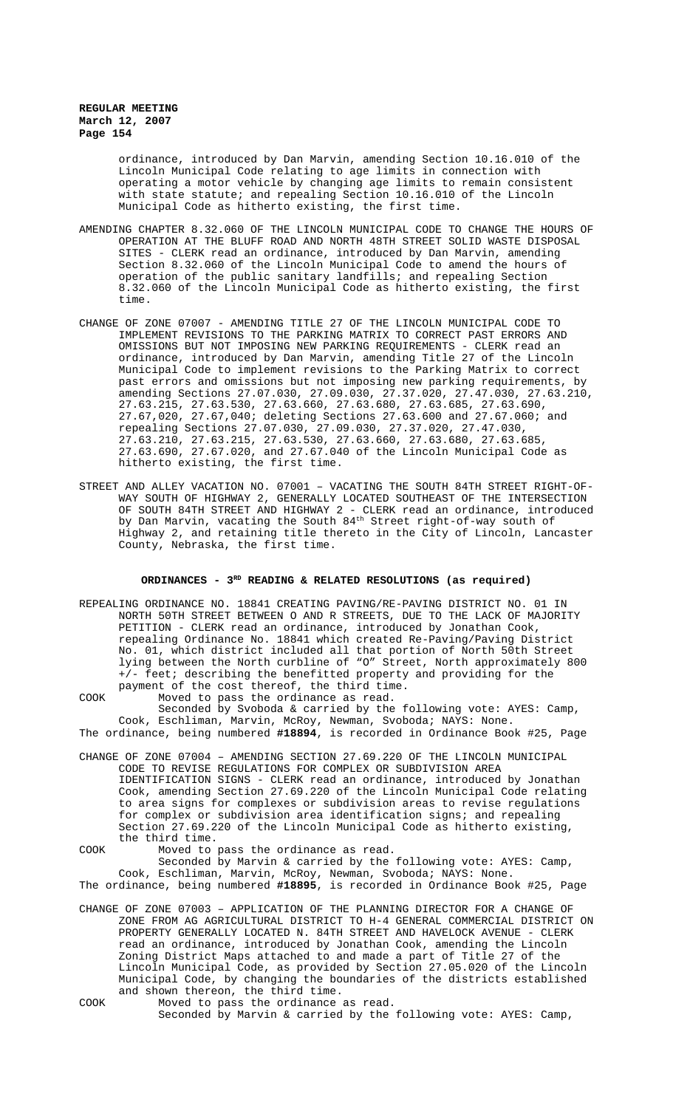# **REGULAR MEETING March 12, 2007 Page 154**

ordinance, introduced by Dan Marvin, amending Section 10.16.010 of the Lincoln Municipal Code relating to age limits in connection with operating a motor vehicle by changing age limits to remain consistent with state statute; and repealing Section 10.16.010 of the Lincoln Municipal Code as hitherto existing, the first time.

- AMENDING CHAPTER 8.32.060 OF THE LINCOLN MUNICIPAL CODE TO CHANGE THE HOURS OF OPERATION AT THE BLUFF ROAD AND NORTH 48TH STREET SOLID WASTE DISPOSAL SITES - CLERK read an ordinance, introduced by Dan Marvin, amending Section 8.32.060 of the Lincoln Municipal Code to amend the hours of operation of the public sanitary landfills; and repealing Section 8.32.060 of the Lincoln Municipal Code as hitherto existing, the first time.
- CHANGE OF ZONE 07007 AMENDING TITLE 27 OF THE LINCOLN MUNICIPAL CODE TO IMPLEMENT REVISIONS TO THE PARKING MATRIX TO CORRECT PAST ERRORS AND OMISSIONS BUT NOT IMPOSING NEW PARKING REQUIREMENTS - CLERK read an ordinance, introduced by Dan Marvin, amending Title 27 of the Lincoln Municipal Code to implement revisions to the Parking Matrix to correct past errors and omissions but not imposing new parking requirements, by amending Sections 27.07.030, 27.09.030, 27.37.020, 27.47.030, 27.63.210, 27.63.215, 27.63.530, 27.63.660, 27.63.680, 27.63.685, 27.63.690, 27.67,020, 27.67,040; deleting Sections 27.63.600 and 27.67.060; and repealing Sections 27.07.030, 27.09.030, 27.37.020, 27.47.030, 27.63.210, 27.63.215, 27.63.530, 27.63.660, 27.63.680, 27.63.685, 27.63.690, 27.67.020, and 27.67.040 of the Lincoln Municipal Code as hitherto existing, the first time.
- STREET AND ALLEY VACATION NO. 07001 VACATING THE SOUTH 84TH STREET RIGHT-OF-WAY SOUTH OF HIGHWAY 2, GENERALLY LOCATED SOUTHEAST OF THE INTERSECTION OF SOUTH 84TH STREET AND HIGHWAY 2 - CLERK read an ordinance, introduced by Dan Marvin, vacating the South 84<sup>th</sup> Street right-of-way south of Highway 2, and retaining title thereto in the City of Lincoln, Lancaster County, Nebraska, the first time.

## ORDINANCES - 3<sup>RD</sup> READING & RELATED RESOLUTIONS (as required)

REPEALING ORDINANCE NO. 18841 CREATING PAVING/RE-PAVING DISTRICT NO. 01 IN NORTH 50TH STREET BETWEEN O AND R STREETS, DUE TO THE LACK OF MAJORITY PETITION - CLERK read an ordinance, introduced by Jonathan Cook, repealing Ordinance No. 18841 which created Re-Paving/Paving District No. 01, which district included all that portion of North 50th Street lying between the North curbline of "O" Street, North approximately 800 +/- feet; describing the benefitted property and providing for the payment of the cost thereof, the third time.

COOK Moved to pass the ordinance as read. Seconded by Svoboda & carried by the following vote: AYES: Camp, Cook, Eschliman, Marvin, McRoy, Newman, Svoboda; NAYS: None. The ordinance, being numbered **#18894**, is recorded in Ordinance Book #25, Page

CHANGE OF ZONE 07004 – AMENDING SECTION 27.69.220 OF THE LINCOLN MUNICIPAL CODE TO REVISE REGULATIONS FOR COMPLEX OR SUBDIVISION AREA IDENTIFICATION SIGNS - CLERK read an ordinance, introduced by Jonathan Cook, amending Section 27.69.220 of the Lincoln Municipal Code relating to area signs for complexes or subdivision areas to revise regulations for complex or subdivision area identification signs; and repealing Section 27.69.220 of the Lincoln Municipal Code as hitherto existing, the third time.

COOK Moved to pass the ordinance as read. Seconded by Marvin & carried by the following vote: AYES: Camp, Cook, Eschliman, Marvin, McRoy, Newman, Svoboda; NAYS: None.

The ordinance, being numbered **#18895**, is recorded in Ordinance Book #25, Page

- CHANGE OF ZONE 07003 APPLICATION OF THE PLANNING DIRECTOR FOR A CHANGE OF ZONE FROM AG AGRICULTURAL DISTRICT TO H-4 GENERAL COMMERCIAL DISTRICT ON PROPERTY GENERALLY LOCATED N. 84TH STREET AND HAVELOCK AVENUE - CLERK read an ordinance, introduced by Jonathan Cook, amending the Lincoln Zoning District Maps attached to and made a part of Title 27 of the Lincoln Municipal Code, as provided by Section 27.05.020 of the Lincoln Municipal Code, by changing the boundaries of the districts established and shown thereon, the third time.
- 

COOK Moved to pass the ordinance as read. Seconded by Marvin & carried by the following vote: AYES: Camp,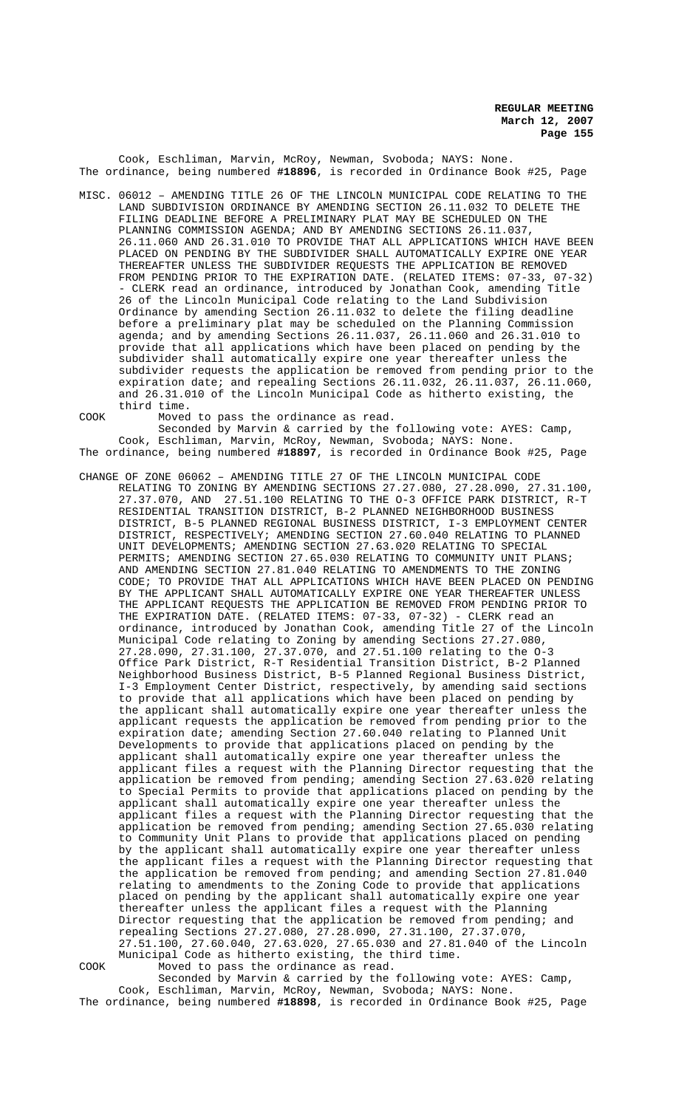Cook, Eschliman, Marvin, McRoy, Newman, Svoboda; NAYS: None. The ordinance, being numbered **#18896**, is recorded in Ordinance Book #25, Page

MISC. 06012 – AMENDING TITLE 26 OF THE LINCOLN MUNICIPAL CODE RELATING TO THE LAND SUBDIVISION ORDINANCE BY AMENDING SECTION 26.11.032 TO DELETE THE FILING DEADLINE BEFORE A PRELIMINARY PLAT MAY BE SCHEDULED ON THE PLANNING COMMISSION AGENDA; AND BY AMENDING SECTIONS 26.11.037, 26.11.060 AND 26.31.010 TO PROVIDE THAT ALL APPLICATIONS WHICH HAVE BEEN PLACED ON PENDING BY THE SUBDIVIDER SHALL AUTOMATICALLY EXPIRE ONE YEAR THEREAFTER UNLESS THE SUBDIVIDER REQUESTS THE APPLICATION BE REMOVED FROM PENDING PRIOR TO THE EXPIRATION DATE. (RELATED ITEMS: 07-33, 07-32) - CLERK read an ordinance, introduced by Jonathan Cook, amending Title 26 of the Lincoln Municipal Code relating to the Land Subdivision Ordinance by amending Section 26.11.032 to delete the filing deadline before a preliminary plat may be scheduled on the Planning Commission agenda; and by amending Sections 26.11.037, 26.11.060 and 26.31.010 to provide that all applications which have been placed on pending by the subdivider shall automatically expire one year thereafter unless the subdivider requests the application be removed from pending prior to the expiration date; and repealing Sections 26.11.032, 26.11.037, 26.11.060, and 26.31.010 of the Lincoln Municipal Code as hitherto existing, the third time.

COOK Moved to pass the ordinance as read.

Seconded by Marvin & carried by the following vote: AYES: Camp, Cook, Eschliman, Marvin, McRoy, Newman, Svoboda; NAYS: None. The ordinance, being numbered **#18897**, is recorded in Ordinance Book #25, Page

CHANGE OF ZONE 06062 – AMENDING TITLE 27 OF THE LINCOLN MUNICIPAL CODE RELATING TO ZONING BY AMENDING SECTIONS 27.27.080, 27.28.090, 27.31.100, 27.37.070, AND 27.51.100 RELATING TO THE O-3 OFFICE PARK DISTRICT, R-T RESIDENTIAL TRANSITION DISTRICT, B-2 PLANNED NEIGHBORHOOD BUSINESS DISTRICT, B-5 PLANNED REGIONAL BUSINESS DISTRICT, I-3 EMPLOYMENT CENTER DISTRICT, RESPECTIVELY; AMENDING SECTION 27.60.040 RELATING TO PLANNED UNIT DEVELOPMENTS; AMENDING SECTION 27.63.020 RELATING TO SPECIAL PERMITS; AMENDING SECTION 27.65.030 RELATING TO COMMUNITY UNIT PLANS; AND AMENDING SECTION 27.81.040 RELATING TO AMENDMENTS TO THE ZONING CODE; TO PROVIDE THAT ALL APPLICATIONS WHICH HAVE BEEN PLACED ON PENDING BY THE APPLICANT SHALL AUTOMATICALLY EXPIRE ONE YEAR THEREAFTER UNLESS THE APPLICANT REQUESTS THE APPLICATION BE REMOVED FROM PENDING PRIOR TO THE EXPIRATION DATE. (RELATED ITEMS: 07-33, 07-32) - CLERK read an ordinance, introduced by Jonathan Cook, amending Title 27 of the Lincoln Municipal Code relating to Zoning by amending Sections 27.27.080, 27.28.090, 27.31.100, 27.37.070, and 27.51.100 relating to the O-3 Office Park District, R-T Residential Transition District, B-2 Planned Neighborhood Business District, B-5 Planned Regional Business District, I-3 Employment Center District, respectively, by amending said sections to provide that all applications which have been placed on pending by the applicant shall automatically expire one year thereafter unless the applicant requests the application be removed from pending prior to the expiration date; amending Section 27.60.040 relating to Planned Unit Developments to provide that applications placed on pending by the applicant shall automatically expire one year thereafter unless the applicant files a request with the Planning Director requesting that the application be removed from pending; amending Section 27.63.020 relating to Special Permits to provide that applications placed on pending by the applicant shall automatically expire one year thereafter unless the applicant files a request with the Planning Director requesting that the application be removed from pending; amending Section 27.65.030 relating to Community Unit Plans to provide that applications placed on pending by the applicant shall automatically expire one year thereafter unless the applicant files a request with the Planning Director requesting that the application be removed from pending; and amending Section 27.81.040 relating to amendments to the Zoning Code to provide that applications placed on pending by the applicant shall automatically expire one year thereafter unless the applicant files a request with the Planning Director requesting that the application be removed from pending; and repealing Sections 27.27.080, 27.28.090, 27.31.100, 27.37.070, 27.51.100, 27.60.040, 27.63.020, 27.65.030 and 27.81.040 of the Lincoln Municipal Code as hitherto existing, the third time. COOK Moved to pass the ordinance as read.

Seconded by Marvin & carried by the following vote: AYES: Camp, Cook, Eschliman, Marvin, McRoy, Newman, Svoboda; NAYS: None. The ordinance, being numbered **#18898**, is recorded in Ordinance Book #25, Page